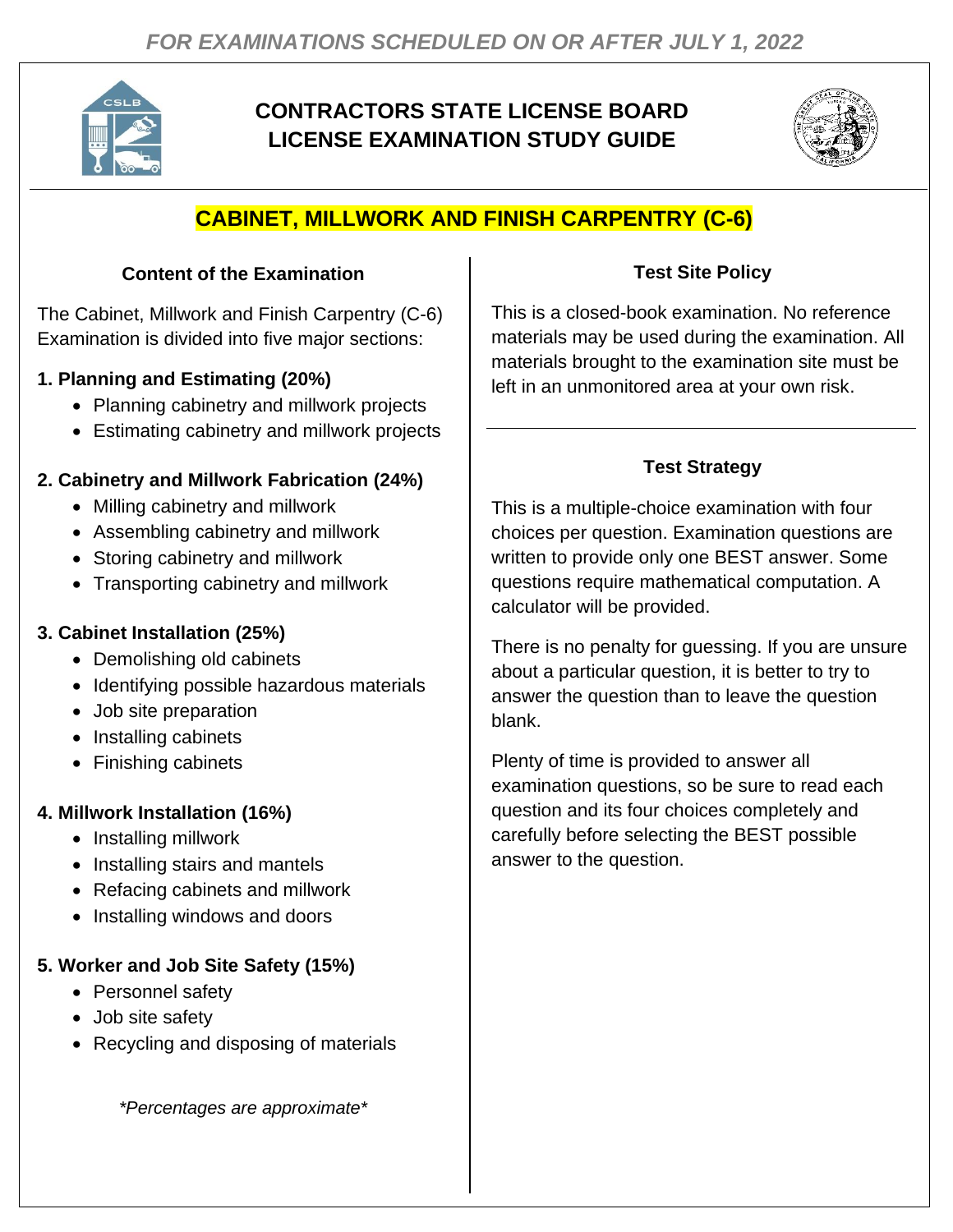

# **CONTRACTORS STATE LICENSE BOARD LICENSE EXAMINATION STUDY GUIDE**



# **CABINET, MILLWORK AND FINISH CARPENTRY (C-6)**

### **Content of the Examination**

The Cabinet, Millwork and Finish Carpentry (C-6) Examination is divided into five major sections:

# **1. Planning and Estimating (20%)**

- Planning cabinetry and millwork projects
- Estimating cabinetry and millwork projects

# **2. Cabinetry and Millwork Fabrication (24%)**

- Milling cabinetry and millwork
- Assembling cabinetry and millwork
- Storing cabinetry and millwork
- Transporting cabinetry and millwork

# **3. Cabinet Installation (25%)**

- Demolishing old cabinets
- Identifying possible hazardous materials
- Job site preparation
- Installing cabinets
- Finishing cabinets

# **4. Millwork Installation (16%)**

- Installing millwork
- Installing stairs and mantels
- Refacing cabinets and millwork
- Installing windows and doors

### **5. Worker and Job Site Safety (15%)**

- Personnel safety
- Job site safety
- Recycling and disposing of materials

*\*Percentages are approximate\**

# **Test Site Policy**

This is a closed-book examination. No reference materials may be used during the examination. All materials brought to the examination site must be left in an unmonitored area at your own risk.

# **Test Strategy**

This is a multiple-choice examination with four choices per question. Examination questions are written to provide only one BEST answer. Some questions require mathematical computation. A calculator will be provided.

There is no penalty for guessing. If you are unsure about a particular question, it is better to try to answer the question than to leave the question blank.

Plenty of time is provided to answer all examination questions, so be sure to read each question and its four choices completely and carefully before selecting the BEST possible answer to the question.